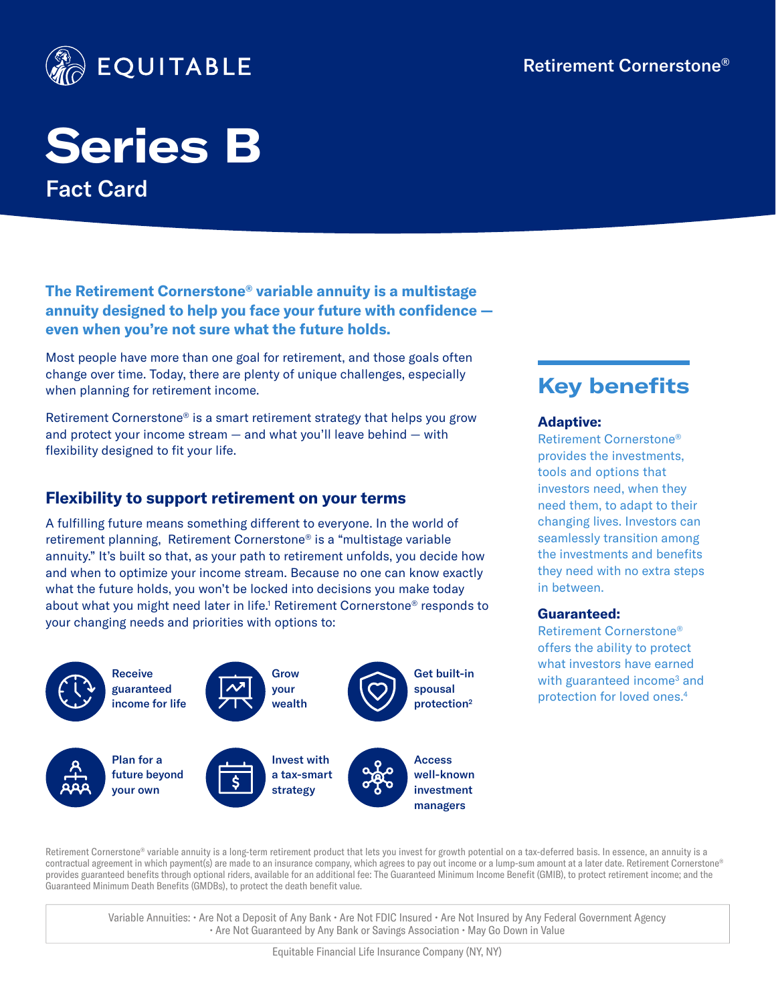

# **Series B** Fact Card

**The Retirement Cornerstone® variable annuity is a multistage annuity designed to help you face your future with confidence even when you're not sure what the future holds.** 

Most people have more than one goal for retirement, and those goals often change over time. Today, there are plenty of unique challenges, especially when planning for retirement income.

Retirement Cornerstone® is a smart retirement strategy that helps you grow and protect your income stream — and what you'll leave behind — with flexibility designed to fit your life.

#### **Flexibility to support retirement on your terms**

A fulfilling future means something different to everyone. In the world of retirement planning, Retirement Cornerstone® is a "multistage variable annuity." It's built so that, as your path to retirement unfolds, you decide how and when to optimize your income stream. Because no one can know exactly what the future holds, you won't be locked into decisions you make today about what you might need later in life.<sup>1</sup> Retirement Cornerstone® responds to your changing needs and priorities with options to:



Retirement Cornerstone® variable annuity is a long-term retirement product that lets you invest for growth potential on a tax-deferred basis. In essence, an annuity is a contractual agreement in which payment(s) are made to an insurance company, which agrees to pay out income or a lump-sum amount at a later date. Retirement Cornerstone® provides guaranteed benefits through optional riders, available for an additional fee: The Guaranteed Minimum Income Benefit (GMIB), to protect retirement income; and the Guaranteed Minimum Death Benefits (GMDBs), to protect the death benefit value.

Variable Annuities: • Are Not a Deposit of Any Bank • Are Not FDIC Insured • Are Not Insured by Any Federal Government Agency • Are Not Guaranteed by Any Bank or Savings Association • May Go Down in Value

## **Key benefits**

#### **Adaptive:**

Retirement Cornerstone® provides the investments, tools and options that investors need, when they need them, to adapt to their changing lives. Investors can seamlessly transition among the investments and benefits they need with no extra steps in between.

#### **Guaranteed:**

Retirement Cornerstone® offers the ability to protect what investors have earned with guaranteed income<sup>3</sup> and protection for loved ones.4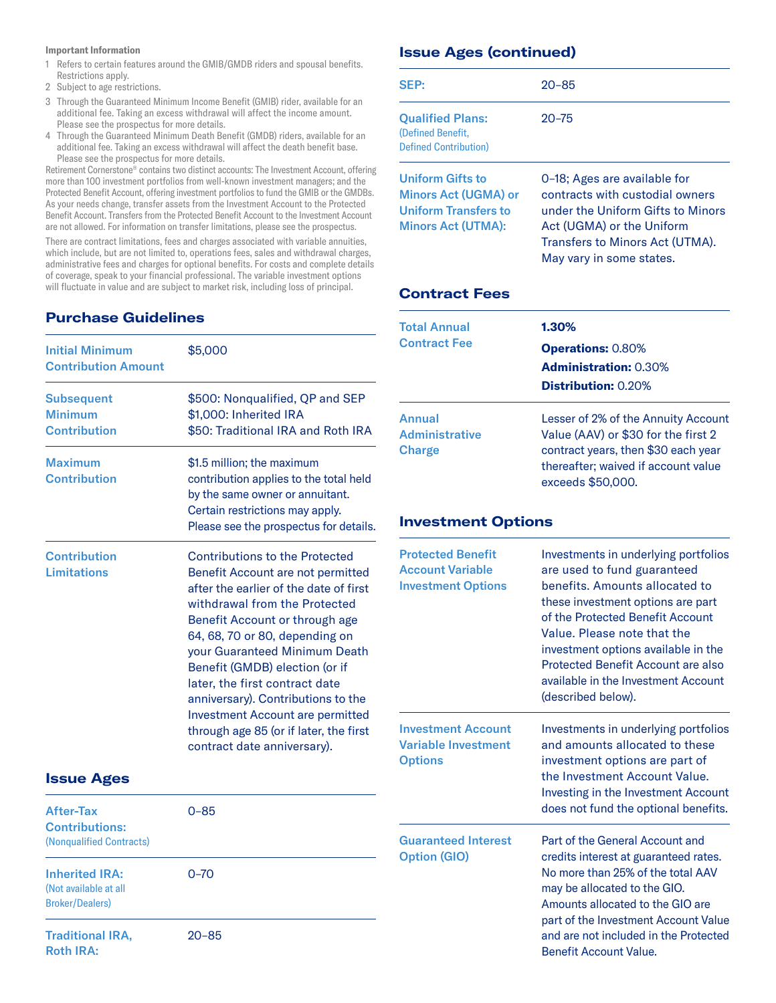#### **Important Information**

- 1 Refers to certain features around the GMIB/GMDB riders and spousal benefits. Restrictions apply.
- 2 Subject to age restrictions.
- 3 Through the Guaranteed Minimum Income Benefit (GMIB) rider, available for an additional fee. Taking an excess withdrawal will affect the income amount. Please see the prospectus for more details.
- 4 Through the Guaranteed Minimum Death Benefit (GMDB) riders, available for an additional fee. Taking an excess withdrawal will affect the death benefit base. Please see the prospectus for more details.

Retirement Cornerstone® contains two distinct accounts: The Investment Account, offering more than 100 investment portfolios from well-known investment managers; and the Protected Benefit Account, offering investment portfolios to fund the GMIB or the GMDBs. As your needs change, transfer assets from the Investment Account to the Protected Benefit Account. Transfers from the Protected Benefit Account to the Investment Account are not allowed. For information on transfer limitations, please see the prospectus.

There are contract limitations, fees and charges associated with variable annuities, which include, but are not limited to, operations fees, sales and withdrawal charges, administrative fees and charges for optional benefits. For costs and complete details of coverage, speak to your financial professional. The variable investment options will fluctuate in value and are subject to market risk, including loss of principal.

#### **Purchase Guidelines**

| <b>Initial Minimum</b><br><b>Contribution Amount</b>       | \$5,000                                                                                                                                                                                                                                                                                                                                                                                                                                                                                  |
|------------------------------------------------------------|------------------------------------------------------------------------------------------------------------------------------------------------------------------------------------------------------------------------------------------------------------------------------------------------------------------------------------------------------------------------------------------------------------------------------------------------------------------------------------------|
| <b>Subsequent</b><br><b>Minimum</b><br><b>Contribution</b> | \$500: Nonqualified, QP and SEP<br>\$1,000: Inherited IRA<br>\$50: Traditional IRA and Roth IRA                                                                                                                                                                                                                                                                                                                                                                                          |
| <b>Maximum</b><br><b>Contribution</b>                      | \$1.5 million; the maximum<br>contribution applies to the total held<br>by the same owner or annuitant.<br>Certain restrictions may apply.<br>Please see the prospectus for details.                                                                                                                                                                                                                                                                                                     |
| <b>Contribution</b><br><b>Limitations</b>                  | <b>Contributions to the Protected</b><br>Benefit Account are not permitted<br>after the earlier of the date of first<br>withdrawal from the Protected<br>Benefit Account or through age<br>64, 68, 70 or 80, depending on<br>your Guaranteed Minimum Death<br>Benefit (GMDB) election (or if<br>later, the first contract date<br>anniversary). Contributions to the<br><b>Investment Account are permitted</b><br>through age 85 (or if later, the first<br>contract date anniversary). |

#### **Issue Ages**

| <b>After-Tax</b><br>$0 - 85$<br><b>Contributions:</b><br>(Nonqualified Contracts) |           | <b>Guaranteed Interes</b><br><b>Option (GIO)</b> |
|-----------------------------------------------------------------------------------|-----------|--------------------------------------------------|
| <b>Inherited IRA:</b><br>(Not available at all<br><b>Broker/Dealers)</b>          | $0 - 70$  |                                                  |
| <b>Traditional IRA,</b><br><b>Roth IRA:</b>                                       | $20 - 85$ |                                                  |

#### **Issue Ages (continued)**

| SEP:                                                                                                               | $20 - 85$                                                                                                                                                                                        |
|--------------------------------------------------------------------------------------------------------------------|--------------------------------------------------------------------------------------------------------------------------------------------------------------------------------------------------|
| <b>Qualified Plans:</b><br>(Defined Benefit,<br><b>Defined Contribution</b> )                                      | $20 - 75$                                                                                                                                                                                        |
| <b>Uniform Gifts to</b><br><b>Minors Act (UGMA) or</b><br><b>Uniform Transfers to</b><br><b>Minors Act (UTMA):</b> | 0-18: Ages are available for<br>contracts with custodial owners<br>under the Uniform Gifts to Minors<br>Act (UGMA) or the Uniform<br>Transfers to Minors Act (UTMA).<br>May vary in some states. |

#### **Contract Fees**

| 1.30%                                                                                                                                  |  |
|----------------------------------------------------------------------------------------------------------------------------------------|--|
| <b>Operations: 0.80%</b>                                                                                                               |  |
| <b>Administration: 0.30%</b>                                                                                                           |  |
| <b>Distribution: 0.20%</b>                                                                                                             |  |
| Lesser of 2% of the Annuity Account                                                                                                    |  |
| Value (AAV) or \$30 for the first 2<br>contract years, then \$30 each year<br>thereafter; waived if account value<br>exceeds \$50,000. |  |
|                                                                                                                                        |  |

#### **Investment Options**

| <b>Protected Benefit</b><br><b>Account Variable</b><br><b>Investment Options</b> | Investments in underlying portfolios<br>are used to fund guaranteed<br>benefits. Amounts allocated to<br>these investment options are part<br>of the Protected Benefit Account<br>Value. Please note that the<br>investment options available in the<br><b>Protected Benefit Account are also</b><br>available in the Investment Account<br>(described below). |
|----------------------------------------------------------------------------------|----------------------------------------------------------------------------------------------------------------------------------------------------------------------------------------------------------------------------------------------------------------------------------------------------------------------------------------------------------------|
| <b>Investment Account</b><br><b>Variable Investment</b><br><b>Options</b>        | Investments in underlying portfolios<br>and amounts allocated to these<br>investment options are part of<br>the Investment Account Value.<br>Investing in the Investment Account<br>does not fund the optional benefits.                                                                                                                                       |
| <b>Guaranteed Interest</b><br><b>Option (GIO)</b>                                | Part of the General Account and<br>credits interest at guaranteed rates.<br>No more than 25% of the total AAV<br>may be allocated to the GIO.<br>Amounts allocated to the GIO are<br>part of the Investment Account Value<br>and are not included in the Protected<br><b>Benefit Account Value.</b>                                                            |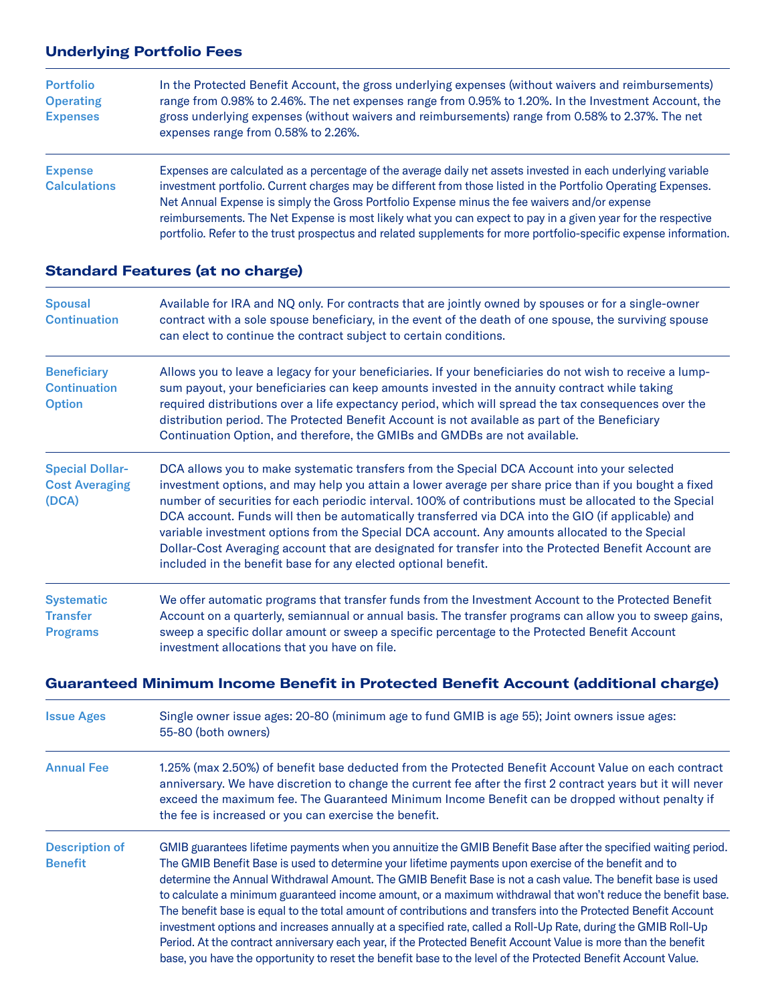#### **Underlying Portfolio Fees**

| <b>Portfolio</b><br><b>Operating</b><br><b>Expenses</b> | In the Protected Benefit Account, the gross underlying expenses (without waivers and reimbursements)<br>range from 0.98% to 2.46%. The net expenses range from 0.95% to 1.20%. In the Investment Account, the<br>gross underlying expenses (without waivers and reimbursements) range from 0.58% to 2.37%. The net<br>expenses range from 0.58% to 2.26%.                                                                                                                                                                                                           |
|---------------------------------------------------------|---------------------------------------------------------------------------------------------------------------------------------------------------------------------------------------------------------------------------------------------------------------------------------------------------------------------------------------------------------------------------------------------------------------------------------------------------------------------------------------------------------------------------------------------------------------------|
| <b>Expense</b><br><b>Calculations</b>                   | Expenses are calculated as a percentage of the average daily net assets invested in each underlying variable<br>investment portfolio. Current charges may be different from those listed in the Portfolio Operating Expenses.<br>Net Annual Expense is simply the Gross Portfolio Expense minus the fee waivers and/or expense<br>reimbursements. The Net Expense is most likely what you can expect to pay in a given year for the respective<br>portfolio. Refer to the trust prospectus and related supplements for more portfolio-specific expense information. |

#### **Standard Features (at no charge)**

| <b>Spousal</b><br><b>Continuation</b>                      | Available for IRA and NQ only. For contracts that are jointly owned by spouses or for a single-owner<br>contract with a sole spouse beneficiary, in the event of the death of one spouse, the surviving spouse<br>can elect to continue the contract subject to certain conditions.                                                                                                                                                                                                                                                                                                                                                                                                                 |
|------------------------------------------------------------|-----------------------------------------------------------------------------------------------------------------------------------------------------------------------------------------------------------------------------------------------------------------------------------------------------------------------------------------------------------------------------------------------------------------------------------------------------------------------------------------------------------------------------------------------------------------------------------------------------------------------------------------------------------------------------------------------------|
| <b>Beneficiary</b><br><b>Continuation</b><br><b>Option</b> | Allows you to leave a legacy for your beneficiaries. If your beneficiaries do not wish to receive a lump-<br>sum payout, your beneficiaries can keep amounts invested in the annuity contract while taking<br>required distributions over a life expectancy period, which will spread the tax consequences over the<br>distribution period. The Protected Benefit Account is not available as part of the Beneficiary<br>Continuation Option, and therefore, the GMIBs and GMDBs are not available.                                                                                                                                                                                                 |
| <b>Special Dollar-</b><br><b>Cost Averaging</b><br>(DCA)   | DCA allows you to make systematic transfers from the Special DCA Account into your selected<br>investment options, and may help you attain a lower average per share price than if you bought a fixed<br>number of securities for each periodic interval. 100% of contributions must be allocated to the Special<br>DCA account. Funds will then be automatically transferred via DCA into the GIO (if applicable) and<br>variable investment options from the Special DCA account. Any amounts allocated to the Special<br>Dollar-Cost Averaging account that are designated for transfer into the Protected Benefit Account are<br>included in the benefit base for any elected optional benefit. |
| <b>Systematic</b><br><b>Transfer</b><br><b>Programs</b>    | We offer automatic programs that transfer funds from the Investment Account to the Protected Benefit<br>Account on a quarterly, semiannual or annual basis. The transfer programs can allow you to sweep gains,<br>sweep a specific dollar amount or sweep a specific percentage to the Protected Benefit Account<br>investment allocations that you have on file.                                                                                                                                                                                                                                                                                                                                  |

**Guaranteed Minimum Income Benefit in Protected Benefit Account (additional charge)**

| <b>Issue Ages</b>                       | Single owner issue ages: 20-80 (minimum age to fund GMIB is age 55); Joint owners issue ages:<br>55-80 (both owners)                                                                                                                                                                                                                                                                                                                                                                                                                                                                                                                                                                                                                                                                                                                                                                                                          |
|-----------------------------------------|-------------------------------------------------------------------------------------------------------------------------------------------------------------------------------------------------------------------------------------------------------------------------------------------------------------------------------------------------------------------------------------------------------------------------------------------------------------------------------------------------------------------------------------------------------------------------------------------------------------------------------------------------------------------------------------------------------------------------------------------------------------------------------------------------------------------------------------------------------------------------------------------------------------------------------|
| <b>Annual Fee</b>                       | 1.25% (max 2.50%) of benefit base deducted from the Protected Benefit Account Value on each contract<br>anniversary. We have discretion to change the current fee after the first 2 contract years but it will never<br>exceed the maximum fee. The Guaranteed Minimum Income Benefit can be dropped without penalty if<br>the fee is increased or you can exercise the benefit.                                                                                                                                                                                                                                                                                                                                                                                                                                                                                                                                              |
| <b>Description of</b><br><b>Benefit</b> | GMIB guarantees lifetime payments when you annuitize the GMIB Benefit Base after the specified waiting period.<br>The GMIB Benefit Base is used to determine your lifetime payments upon exercise of the benefit and to<br>determine the Annual Withdrawal Amount. The GMIB Benefit Base is not a cash value. The benefit base is used<br>to calculate a minimum guaranteed income amount, or a maximum withdrawal that won't reduce the benefit base.<br>The benefit base is equal to the total amount of contributions and transfers into the Protected Benefit Account<br>investment options and increases annually at a specified rate, called a Roll-Up Rate, during the GMIB Roll-Up<br>Period. At the contract anniversary each year, if the Protected Benefit Account Value is more than the benefit<br>base, you have the opportunity to reset the benefit base to the level of the Protected Benefit Account Value. |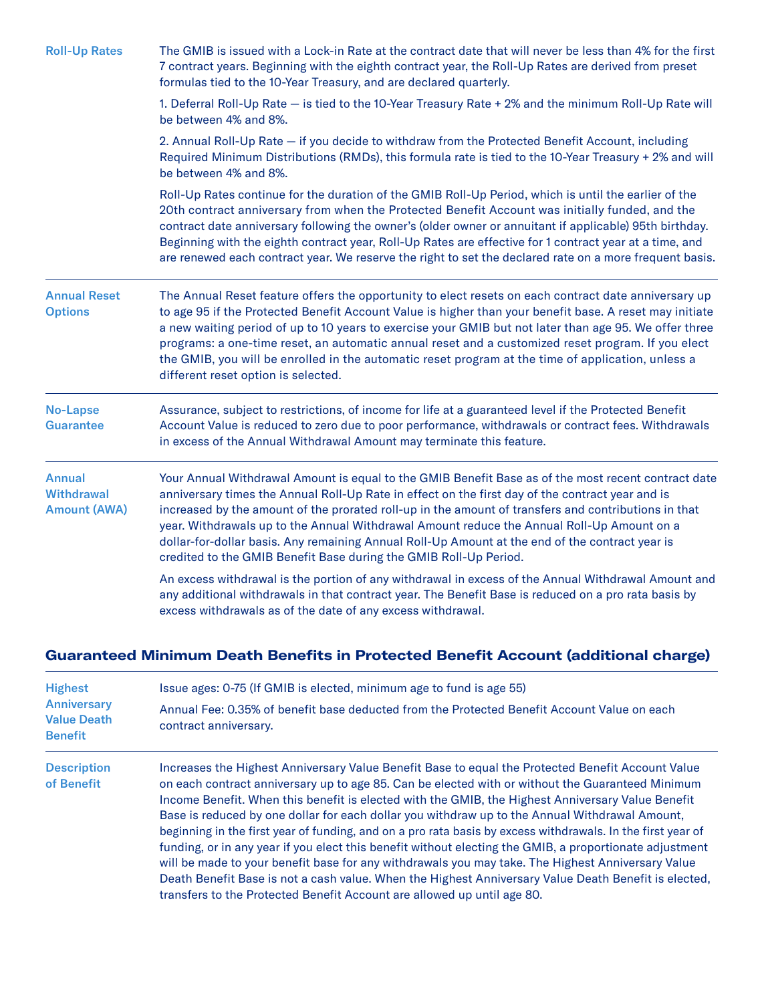| <b>Roll-Up Rates</b>                                      | The GMIB is issued with a Lock-in Rate at the contract date that will never be less than 4% for the first<br>7 contract years. Beginning with the eighth contract year, the Roll-Up Rates are derived from preset<br>formulas tied to the 10-Year Treasury, and are declared quarterly.                                                                                                                                                                                                                                                                                               |  |  |
|-----------------------------------------------------------|---------------------------------------------------------------------------------------------------------------------------------------------------------------------------------------------------------------------------------------------------------------------------------------------------------------------------------------------------------------------------------------------------------------------------------------------------------------------------------------------------------------------------------------------------------------------------------------|--|--|
|                                                           | 1. Deferral Roll-Up Rate - is tied to the 10-Year Treasury Rate + 2% and the minimum Roll-Up Rate will<br>be between 4% and 8%.                                                                                                                                                                                                                                                                                                                                                                                                                                                       |  |  |
|                                                           | 2. Annual Roll-Up Rate - if you decide to withdraw from the Protected Benefit Account, including<br>Required Minimum Distributions (RMDs), this formula rate is tied to the 10-Year Treasury + 2% and will<br>be between 4% and 8%.                                                                                                                                                                                                                                                                                                                                                   |  |  |
|                                                           | Roll-Up Rates continue for the duration of the GMIB Roll-Up Period, which is until the earlier of the<br>20th contract anniversary from when the Protected Benefit Account was initially funded, and the<br>contract date anniversary following the owner's (older owner or annuitant if applicable) 95th birthday.<br>Beginning with the eighth contract year, Roll-Up Rates are effective for 1 contract year at a time, and<br>are renewed each contract year. We reserve the right to set the declared rate on a more frequent basis.                                             |  |  |
| <b>Annual Reset</b><br><b>Options</b>                     | The Annual Reset feature offers the opportunity to elect resets on each contract date anniversary up<br>to age 95 if the Protected Benefit Account Value is higher than your benefit base. A reset may initiate<br>a new waiting period of up to 10 years to exercise your GMIB but not later than age 95. We offer three<br>programs: a one-time reset, an automatic annual reset and a customized reset program. If you elect<br>the GMIB, you will be enrolled in the automatic reset program at the time of application, unless a<br>different reset option is selected.          |  |  |
| <b>No-Lapse</b><br><b>Guarantee</b>                       | Assurance, subject to restrictions, of income for life at a guaranteed level if the Protected Benefit<br>Account Value is reduced to zero due to poor performance, withdrawals or contract fees. Withdrawals<br>in excess of the Annual Withdrawal Amount may terminate this feature.                                                                                                                                                                                                                                                                                                 |  |  |
| <b>Annual</b><br><b>Withdrawal</b><br><b>Amount (AWA)</b> | Your Annual Withdrawal Amount is equal to the GMIB Benefit Base as of the most recent contract date<br>anniversary times the Annual Roll-Up Rate in effect on the first day of the contract year and is<br>increased by the amount of the prorated roll-up in the amount of transfers and contributions in that<br>year. Withdrawals up to the Annual Withdrawal Amount reduce the Annual Roll-Up Amount on a<br>dollar-for-dollar basis. Any remaining Annual Roll-Up Amount at the end of the contract year is<br>credited to the GMIB Benefit Base during the GMIB Roll-Up Period. |  |  |
|                                                           | An excess withdrawal is the portion of any withdrawal in excess of the Annual Withdrawal Amount and<br>any additional withdrawals in that contract year. The Benefit Base is reduced on a pro rata basis by<br>excess withdrawals as of the date of any excess withdrawal.                                                                                                                                                                                                                                                                                                            |  |  |

### **Guaranteed Minimum Death Benefits in Protected Benefit Account (additional charge)**

| <b>Highest</b><br><b>Anniversary</b><br><b>Value Death</b><br><b>Benefit</b> | Issue ages: 0-75 (If GMIB is elected, minimum age to fund is age 55)<br>Annual Fee: 0.35% of benefit base deducted from the Protected Benefit Account Value on each<br>contract anniversary.                                                                                                                                                                                                                                                                                                                                                                                                                                                                                                                                                                                                                                                                                                                                   |
|------------------------------------------------------------------------------|--------------------------------------------------------------------------------------------------------------------------------------------------------------------------------------------------------------------------------------------------------------------------------------------------------------------------------------------------------------------------------------------------------------------------------------------------------------------------------------------------------------------------------------------------------------------------------------------------------------------------------------------------------------------------------------------------------------------------------------------------------------------------------------------------------------------------------------------------------------------------------------------------------------------------------|
| <b>Description</b><br>of Benefit                                             | Increases the Highest Anniversary Value Benefit Base to equal the Protected Benefit Account Value<br>on each contract anniversary up to age 85. Can be elected with or without the Guaranteed Minimum<br>Income Benefit. When this benefit is elected with the GMIB, the Highest Anniversary Value Benefit<br>Base is reduced by one dollar for each dollar you withdraw up to the Annual Withdrawal Amount,<br>beginning in the first year of funding, and on a pro rata basis by excess withdrawals. In the first year of<br>funding, or in any year if you elect this benefit without electing the GMIB, a proportionate adjustment<br>will be made to your benefit base for any withdrawals you may take. The Highest Anniversary Value<br>Death Benefit Base is not a cash value. When the Highest Anniversary Value Death Benefit is elected,<br>transfers to the Protected Benefit Account are allowed up until age 80. |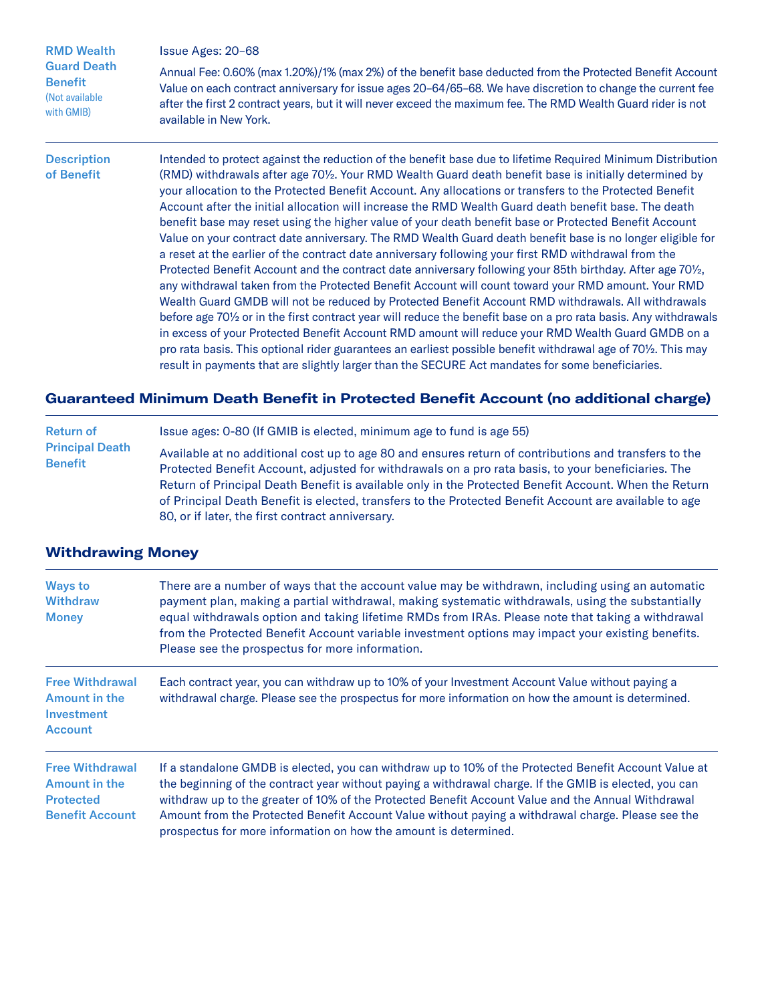| <b>RMD Wealth</b>                                                    | Issue Ages: 20-68                                                                                                                                                                                                                                                                                                                                                                                                                                                                                                                                                                                                                                                                                                                                                                                                                                                                                                                                                                                                                                                                                                                                                                                                                                                                                                                                                                                                                                                                                                                                                         |  |
|----------------------------------------------------------------------|---------------------------------------------------------------------------------------------------------------------------------------------------------------------------------------------------------------------------------------------------------------------------------------------------------------------------------------------------------------------------------------------------------------------------------------------------------------------------------------------------------------------------------------------------------------------------------------------------------------------------------------------------------------------------------------------------------------------------------------------------------------------------------------------------------------------------------------------------------------------------------------------------------------------------------------------------------------------------------------------------------------------------------------------------------------------------------------------------------------------------------------------------------------------------------------------------------------------------------------------------------------------------------------------------------------------------------------------------------------------------------------------------------------------------------------------------------------------------------------------------------------------------------------------------------------------------|--|
| <b>Guard Death</b><br><b>Benefit</b><br>(Not available<br>with GMIB) | Annual Fee: 0.60% (max 1.20%)/1% (max 2%) of the benefit base deducted from the Protected Benefit Account<br>Value on each contract anniversary for issue ages 20-64/65-68. We have discretion to change the current fee<br>after the first 2 contract years, but it will never exceed the maximum fee. The RMD Wealth Guard rider is not<br>available in New York.                                                                                                                                                                                                                                                                                                                                                                                                                                                                                                                                                                                                                                                                                                                                                                                                                                                                                                                                                                                                                                                                                                                                                                                                       |  |
| <b>Description</b><br>of Benefit                                     | Intended to protect against the reduction of the benefit base due to lifetime Required Minimum Distribution<br>(RMD) withdrawals after age 70 <sup>1</sup> / <sub>2</sub> . Your RMD Wealth Guard death benefit base is initially determined by<br>your allocation to the Protected Benefit Account. Any allocations or transfers to the Protected Benefit<br>Account after the initial allocation will increase the RMD Wealth Guard death benefit base. The death<br>benefit base may reset using the higher value of your death benefit base or Protected Benefit Account<br>Value on your contract date anniversary. The RMD Wealth Guard death benefit base is no longer eligible for<br>a reset at the earlier of the contract date anniversary following your first RMD withdrawal from the<br>Protected Benefit Account and the contract date anniversary following your 85th birthday. After age 701/2,<br>any withdrawal taken from the Protected Benefit Account will count toward your RMD amount. Your RMD<br>Wealth Guard GMDB will not be reduced by Protected Benefit Account RMD withdrawals. All withdrawals<br>before age 70% or in the first contract year will reduce the benefit base on a pro rata basis. Any withdrawals<br>in excess of your Protected Benefit Account RMD amount will reduce your RMD Wealth Guard GMDB on a<br>pro rata basis. This optional rider guarantees an earliest possible benefit withdrawal age of 70½. This may<br>result in payments that are slightly larger than the SECURE Act mandates for some beneficiaries. |  |

#### **Guaranteed Minimum Death Benefit in Protected Benefit Account (no additional charge)**

Return of Principal Death Benefit Issue ages: 0-80 (If GMIB is elected, minimum age to fund is age 55) Available at no additional cost up to age 80 and ensures return of contributions and transfers to the Protected Benefit Account, adjusted for withdrawals on a pro rata basis, to your beneficiaries. The Return of Principal Death Benefit is available only in the Protected Benefit Account. When the Return of Principal Death Benefit is elected, transfers to the Protected Benefit Account are available to age 80, or if later, the first contract anniversary.

#### **Withdrawing Money**

| <b>Ways to</b><br><b>Withdraw</b><br><b>Money</b>                                            | There are a number of ways that the account value may be withdrawn, including using an automatic<br>payment plan, making a partial withdrawal, making systematic withdrawals, using the substantially<br>equal withdrawals option and taking lifetime RMDs from IRAs. Please note that taking a withdrawal<br>from the Protected Benefit Account variable investment options may impact your existing benefits.<br>Please see the prospectus for more information.                              |
|----------------------------------------------------------------------------------------------|-------------------------------------------------------------------------------------------------------------------------------------------------------------------------------------------------------------------------------------------------------------------------------------------------------------------------------------------------------------------------------------------------------------------------------------------------------------------------------------------------|
| <b>Free Withdrawal</b><br><b>Amount in the</b><br>Investment<br><b>Account</b>               | Each contract year, you can withdraw up to 10% of your Investment Account Value without paying a<br>withdrawal charge. Please see the prospectus for more information on how the amount is determined.                                                                                                                                                                                                                                                                                          |
| <b>Free Withdrawal</b><br><b>Amount in the</b><br><b>Protected</b><br><b>Benefit Account</b> | If a standalone GMDB is elected, you can withdraw up to 10% of the Protected Benefit Account Value at<br>the beginning of the contract year without paying a withdrawal charge. If the GMIB is elected, you can<br>withdraw up to the greater of 10% of the Protected Benefit Account Value and the Annual Withdrawal<br>Amount from the Protected Benefit Account Value without paying a withdrawal charge. Please see the<br>prospectus for more information on how the amount is determined. |